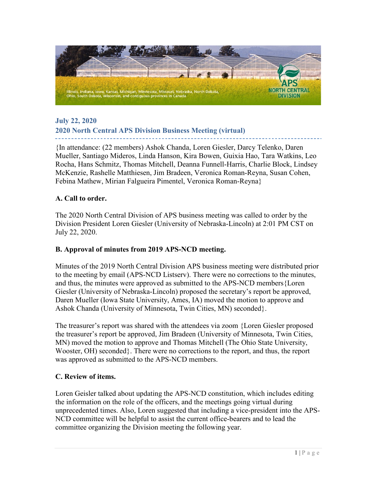

# **July 22, 2020 2020 North Central APS Division Business Meeting (virtual)**

{In attendance: (22 members) Ashok Chanda, Loren Giesler, Darcy Telenko, Daren Mueller, Santiago Mideros, Linda Hanson, Kira Bowen, Guixia Hao, Tara Watkins, Leo Rocha, Hans Schmitz, Thomas Mitchell, Deanna Funnell-Harris, Charlie Block, Lindsey McKenzie, Rashelle Matthiesen, Jim Bradeen, Veronica Roman-Reyna, Susan Cohen, Febina Mathew, Mirian Falgueira Pimentel, Veronica Roman-Reyna}

### **A. Call to order.**

The 2020 North Central Division of APS business meeting was called to order by the Division President Loren Giesler (University of Nebraska-Lincoln) at 2:01 PM CST on July 22, 2020.

#### **B. Approval of minutes from 2019 APS-NCD meeting.**

Minutes of the 2019 North Central Division APS business meeting were distributed prior to the meeting by email (APS-NCD Listserv). There were no corrections to the minutes, and thus, the minutes were approved as submitted to the APS-NCD members{Loren Giesler (University of Nebraska-Lincoln) proposed the secretary's report be approved, Daren Mueller (Iowa State University, Ames, IA) moved the motion to approve and Ashok Chanda (University of Minnesota, Twin Cities, MN) seconded}.

The treasurer's report was shared with the attendees via zoom {Loren Giesler proposed the treasurer's report be approved, Jim Bradeen (University of Minnesota, Twin Cities, MN) moved the motion to approve and Thomas Mitchell (The Ohio State University, Wooster, OH) seconded}. There were no corrections to the report, and thus, the report was approved as submitted to the APS-NCD members.

#### **C. Review of items.**

Loren Geisler talked about updating the APS-NCD constitution, which includes editing the information on the role of the officers, and the meetings going virtual during unprecedented times. Also, Loren suggested that including a vice-president into the APS-NCD committee will be helpful to assist the current office-bearers and to lead the committee organizing the Division meeting the following year.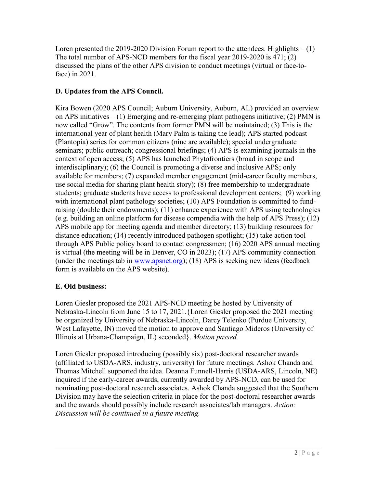Loren presented the 2019-2020 Division Forum report to the attendees. Highlights – (1) The total number of APS-NCD members for the fiscal year 2019-2020 is 471; (2) discussed the plans of the other APS division to conduct meetings (virtual or face-toface) in 2021.

# **D. Updates from the APS Council.**

Kira Bowen (2020 APS Council; Auburn University, Auburn, AL) provided an overview on APS initiatives  $- (1)$  Emerging and re-emerging plant pathogens initiative; (2) PMN is now called "Grow". The contents from former PMN will be maintained; (3) This is the international year of plant health (Mary Palm is taking the lead); APS started podcast (Plantopia) series for common citizens (nine are available); special undergraduate seminars; public outreach; congressional briefings; (4) APS is examining journals in the context of open access; (5) APS has launched Phytofrontiers (broad in scope and interdisciplinary); (6) the Council is promoting a diverse and inclusive APS; only available for members; (7) expanded member engagement (mid-career faculty members, use social media for sharing plant health story); (8) free membership to undergraduate students; graduate students have access to professional development centers; (9) working with international plant pathology societies; (10) APS Foundation is committed to fundraising (double their endowments); (11) enhance experience with APS using technologies (e.g. building an online platform for disease compendia with the help of APS Press); (12) APS mobile app for meeting agenda and member directory; (13) building resources for distance education; (14) recently introduced pathogen spotlight; (15) take action tool through APS Public policy board to contact congressmen; (16) 2020 APS annual meeting is virtual (the meeting will be in Denver, CO in 2023); (17) APS community connection (under the meetings tab in [www.apsnet.org\)](http://www.apsnet.org/); (18) APS is seeking new ideas (feedback form is available on the APS website).

## **E. Old business:**

Loren Giesler proposed the 2021 APS-NCD meeting be hosted by University of Nebraska-Lincoln from June 15 to 17, 2021.{Loren Giesler proposed the 2021 meeting be organized by University of Nebraska-Lincoln, Darcy Telenko (Purdue University, West Lafayette, IN) moved the motion to approve and Santiago Mideros (University of Illinois at Urbana-Champaign, IL) seconded}. *Motion passed.*

Loren Giesler proposed introducing (possibly six) post-doctoral researcher awards (affiliated to USDA-ARS, industry, university) for future meetings. Ashok Chanda and Thomas Mitchell supported the idea. Deanna Funnell-Harris (USDA-ARS, Lincoln, NE) inquired if the early-career awards, currently awarded by APS-NCD, can be used for nominating post-doctoral research associates. Ashok Chanda suggested that the Southern Division may have the selection criteria in place for the post-doctoral researcher awards and the awards should possibly include research associates/lab managers. *Action: Discussion will be continued in a future meeting.*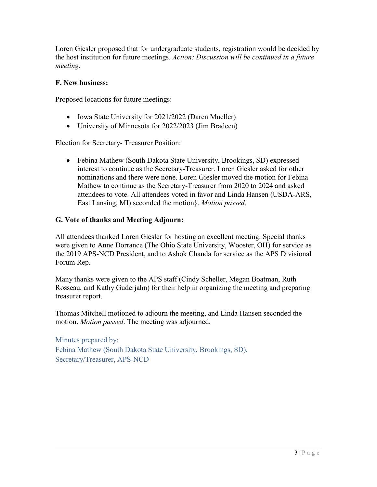Loren Giesler proposed that for undergraduate students, registration would be decided by the host institution for future meetings. *Action: Discussion will be continued in a future meeting.*

### **F. New business:**

Proposed locations for future meetings:

- Iowa State University for 2021/2022 (Daren Mueller)
- University of Minnesota for 2022/2023 (Jim Bradeen)

Election for Secretary- Treasurer Position:

• Febina Mathew (South Dakota State University, Brookings, SD) expressed interest to continue as the Secretary-Treasurer. Loren Giesler asked for other nominations and there were none. Loren Giesler moved the motion for Febina Mathew to continue as the Secretary-Treasurer from 2020 to 2024 and asked attendees to vote. All attendees voted in favor and Linda Hansen (USDA-ARS, East Lansing, MI) seconded the motion}. *Motion passed*.

### **G. Vote of thanks and Meeting Adjourn:**

All attendees thanked Loren Giesler for hosting an excellent meeting. Special thanks were given to Anne Dorrance (The Ohio State University, Wooster, OH) for service as the 2019 APS-NCD President, and to Ashok Chanda for service as the APS Divisional Forum Rep.

Many thanks were given to the APS staff (Cindy Scheller, Megan Boatman, Ruth Rosseau, and Kathy Guderjahn) for their help in organizing the meeting and preparing treasurer report.

Thomas Mitchell motioned to adjourn the meeting, and Linda Hansen seconded the motion. *Motion passed*. The meeting was adjourned.

Minutes prepared by: Febina Mathew (South Dakota State University, Brookings, SD), Secretary/Treasurer, APS-NCD